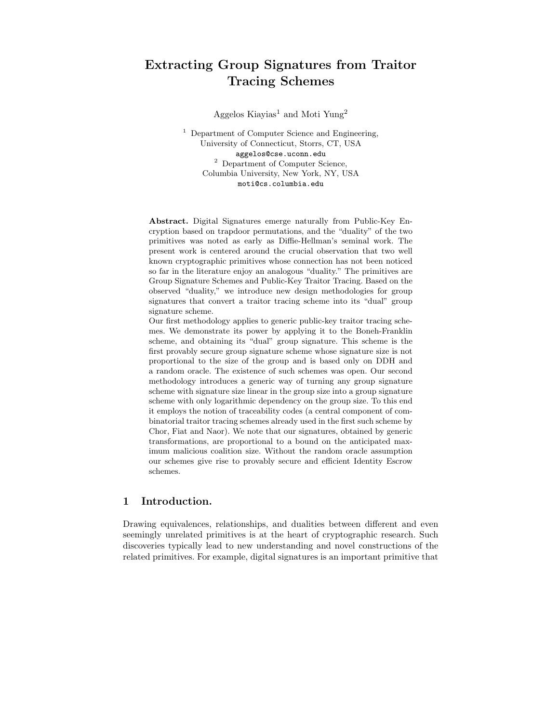# Extracting Group Signatures from Traitor Tracing Schemes

Aggelos Kiayias<sup>1</sup> and Moti Yung<sup>2</sup>

<sup>1</sup> Department of Computer Science and Engineering, University of Connecticut, Storrs, CT, USA aggelos@cse.uconn.edu <sup>2</sup> Department of Computer Science, Columbia University, New York, NY, USA moti@cs.columbia.edu

Abstract. Digital Signatures emerge naturally from Public-Key Encryption based on trapdoor permutations, and the "duality" of the two primitives was noted as early as Diffie-Hellman's seminal work. The present work is centered around the crucial observation that two well known cryptographic primitives whose connection has not been noticed so far in the literature enjoy an analogous "duality." The primitives are Group Signature Schemes and Public-Key Traitor Tracing. Based on the observed "duality," we introduce new design methodologies for group signatures that convert a traitor tracing scheme into its "dual" group signature scheme.

Our first methodology applies to generic public-key traitor tracing schemes. We demonstrate its power by applying it to the Boneh-Franklin scheme, and obtaining its "dual" group signature. This scheme is the first provably secure group signature scheme whose signature size is not proportional to the size of the group and is based only on DDH and a random oracle. The existence of such schemes was open. Our second methodology introduces a generic way of turning any group signature scheme with signature size linear in the group size into a group signature scheme with only logarithmic dependency on the group size. To this end it employs the notion of traceability codes (a central component of combinatorial traitor tracing schemes already used in the first such scheme by Chor, Fiat and Naor). We note that our signatures, obtained by generic transformations, are proportional to a bound on the anticipated maximum malicious coalition size. Without the random oracle assumption our schemes give rise to provably secure and efficient Identity Escrow schemes.

# 1 Introduction.

Drawing equivalences, relationships, and dualities between different and even seemingly unrelated primitives is at the heart of cryptographic research. Such discoveries typically lead to new understanding and novel constructions of the related primitives. For example, digital signatures is an important primitive that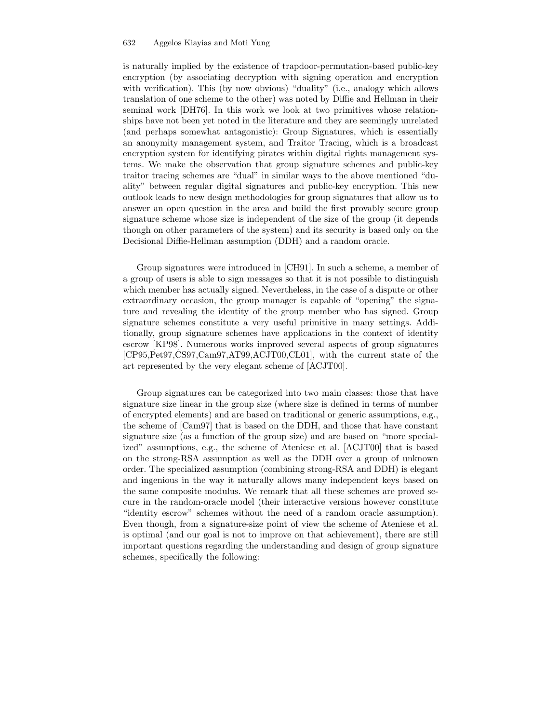#### 632 Aggelos Kiayias and Moti Yung

is naturally implied by the existence of trapdoor-permutation-based public-key encryption (by associating decryption with signing operation and encryption with verification). This (by now obvious) "duality" (i.e., analogy which allows translation of one scheme to the other) was noted by Diffie and Hellman in their seminal work [DH76]. In this work we look at two primitives whose relationships have not been yet noted in the literature and they are seemingly unrelated (and perhaps somewhat antagonistic): Group Signatures, which is essentially an anonymity management system, and Traitor Tracing, which is a broadcast encryption system for identifying pirates within digital rights management systems. We make the observation that group signature schemes and public-key traitor tracing schemes are "dual" in similar ways to the above mentioned "duality" between regular digital signatures and public-key encryption. This new outlook leads to new design methodologies for group signatures that allow us to answer an open question in the area and build the first provably secure group signature scheme whose size is independent of the size of the group (it depends though on other parameters of the system) and its security is based only on the Decisional Diffie-Hellman assumption (DDH) and a random oracle.

Group signatures were introduced in [CH91]. In such a scheme, a member of a group of users is able to sign messages so that it is not possible to distinguish which member has actually signed. Nevertheless, in the case of a dispute or other extraordinary occasion, the group manager is capable of "opening" the signature and revealing the identity of the group member who has signed. Group signature schemes constitute a very useful primitive in many settings. Additionally, group signature schemes have applications in the context of identity escrow [KP98]. Numerous works improved several aspects of group signatures [CP95,Pet97,CS97,Cam97,AT99,ACJT00,CL01], with the current state of the art represented by the very elegant scheme of [ACJT00].

Group signatures can be categorized into two main classes: those that have signature size linear in the group size (where size is defined in terms of number of encrypted elements) and are based on traditional or generic assumptions, e.g., the scheme of [Cam97] that is based on the DDH, and those that have constant signature size (as a function of the group size) and are based on "more specialized" assumptions, e.g., the scheme of Ateniese et al. [ACJT00] that is based on the strong-RSA assumption as well as the DDH over a group of unknown order. The specialized assumption (combining strong-RSA and DDH) is elegant and ingenious in the way it naturally allows many independent keys based on the same composite modulus. We remark that all these schemes are proved secure in the random-oracle model (their interactive versions however constitute "identity escrow" schemes without the need of a random oracle assumption). Even though, from a signature-size point of view the scheme of Ateniese et al. is optimal (and our goal is not to improve on that achievement), there are still important questions regarding the understanding and design of group signature schemes, specifically the following: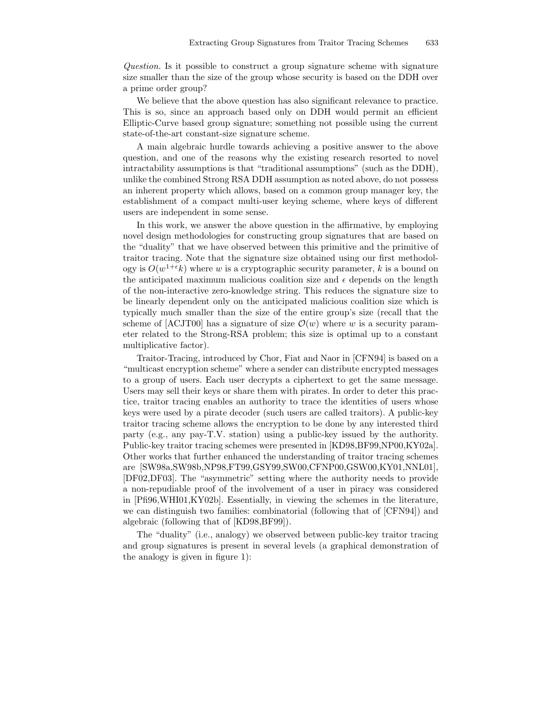Question. Is it possible to construct a group signature scheme with signature size smaller than the size of the group whose security is based on the DDH over a prime order group?

We believe that the above question has also significant relevance to practice. This is so, since an approach based only on DDH would permit an efficient Elliptic-Curve based group signature; something not possible using the current state-of-the-art constant-size signature scheme.

A main algebraic hurdle towards achieving a positive answer to the above question, and one of the reasons why the existing research resorted to novel intractability assumptions is that "traditional assumptions" (such as the DDH), unlike the combined Strong RSA DDH assumption as noted above, do not possess an inherent property which allows, based on a common group manager key, the establishment of a compact multi-user keying scheme, where keys of different users are independent in some sense.

In this work, we answer the above question in the affirmative, by employing novel design methodologies for constructing group signatures that are based on the "duality" that we have observed between this primitive and the primitive of traitor tracing. Note that the signature size obtained using our first methodology is  $O(w^{1+\epsilon}k)$  where w is a cryptographic security parameter, k is a bound on the anticipated maximum malicious coalition size and  $\epsilon$  depends on the length of the non-interactive zero-knowledge string. This reduces the signature size to be linearly dependent only on the anticipated malicious coalition size which is typically much smaller than the size of the entire group's size (recall that the scheme of  $[ACJTO0]$  has a signature of size  $\mathcal{O}(w)$  where w is a security parameter related to the Strong-RSA problem; this size is optimal up to a constant multiplicative factor).

Traitor-Tracing, introduced by Chor, Fiat and Naor in [CFN94] is based on a "multicast encryption scheme" where a sender can distribute encrypted messages to a group of users. Each user decrypts a ciphertext to get the same message. Users may sell their keys or share them with pirates. In order to deter this practice, traitor tracing enables an authority to trace the identities of users whose keys were used by a pirate decoder (such users are called traitors). A public-key traitor tracing scheme allows the encryption to be done by any interested third party (e.g., any pay-T.V. station) using a public-key issued by the authority. Public-key traitor tracing schemes were presented in [KD98,BF99,NP00,KY02a]. Other works that further enhanced the understanding of traitor tracing schemes are [SW98a,SW98b,NP98,FT99,GSY99,SW00,CFNP00,GSW00,KY01,NNL01], [DF02,DF03]. The "asymmetric" setting where the authority needs to provide a non-repudiable proof of the involvement of a user in piracy was considered in [Pfi96,WHI01,KY02b]. Essentially, in viewing the schemes in the literature, we can distinguish two families: combinatorial (following that of [CFN94]) and algebraic (following that of [KD98,BF99]).

The "duality" (i.e., analogy) we observed between public-key traitor tracing and group signatures is present in several levels (a graphical demonstration of the analogy is given in figure 1):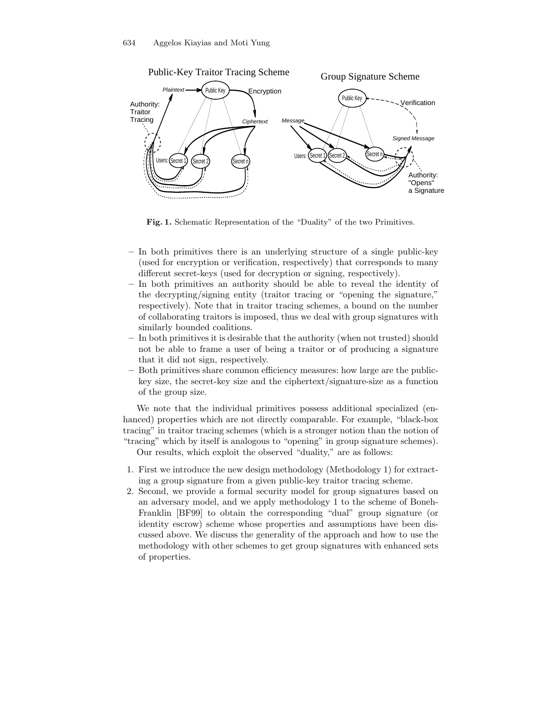

Fig. 1. Schematic Representation of the "Duality" of the two Primitives.

- In both primitives there is an underlying structure of a single public-key (used for encryption or verification, respectively) that corresponds to many different secret-keys (used for decryption or signing, respectively).
- In both primitives an authority should be able to reveal the identity of the decrypting/signing entity (traitor tracing or "opening the signature," respectively). Note that in traitor tracing schemes, a bound on the number of collaborating traitors is imposed, thus we deal with group signatures with similarly bounded coalitions.
- In both primitives it is desirable that the authority (when not trusted) should not be able to frame a user of being a traitor or of producing a signature that it did not sign, respectively.
- Both primitives share common efficiency measures: how large are the publickey size, the secret-key size and the ciphertext/signature-size as a function of the group size.

We note that the individual primitives possess additional specialized (enhanced) properties which are not directly comparable. For example, "black-box tracing" in traitor tracing schemes (which is a stronger notion than the notion of "tracing" which by itself is analogous to "opening" in group signature schemes).

Our results, which exploit the observed "duality," are as follows:

- 1. First we introduce the new design methodology (Methodology 1) for extracting a group signature from a given public-key traitor tracing scheme.
- 2. Second, we provide a formal security model for group signatures based on an adversary model, and we apply methodology 1 to the scheme of Boneh-Franklin [BF99] to obtain the corresponding "dual" group signature (or identity escrow) scheme whose properties and assumptions have been discussed above. We discuss the generality of the approach and how to use the methodology with other schemes to get group signatures with enhanced sets of properties.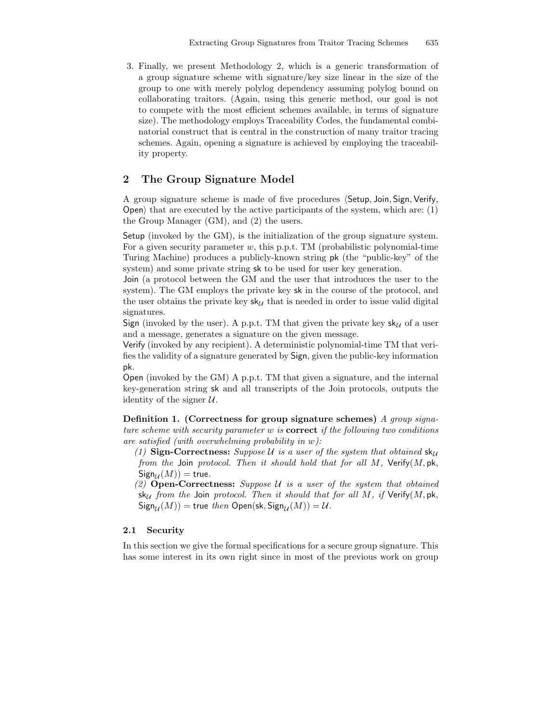3. Finally, we present Methodology 2, which is a generic transformation of a group signature scheme with signature/key size linear in the size of the group to one with merely polylog dependency assuming polylog bound on collaborating traitors. (Again, using this generic method, our goal is not to compete with the most efficient schemes available, in terms of signature size). The methodology employs Traceability Codes, the fundamental combinatorial construct that is central in the construction of many traitor tracing schemes. Again, opening a signature is achieved by employing the traceability property.

# 2 The Group Signature Model

A group signature scheme is made of five procedures  $\Diamond$  Setup, Join, Sign, Verify, Open) that are executed by the active participants of the system, which are:  $(1)$ the Group Manager (GM), and (2) the users.

Setup (invoked by the GM), is the initialization of the group signature system. For a given security parameter  $w$ , this p.p.t. TM (probabilistic polynomial-time Turing Machine) produces a publicly-known string pk (the "public-key" of the system) and some private string sk to be used for user key generation.

Join (a protocol between the GM and the user that introduces the user to the system). The GM employs the private key sk in the course of the protocol, and the user obtains the private key  $sk_{\mathcal{U}}$  that is needed in order to issue valid digital signatures.

Sign (invoked by the user). A p.p.t. TM that given the private key  $sk_{\mathcal{U}}$  of a user and a message, generates a signature on the given message.

Verify (invoked by any recipient). A deterministic polynomial-time TM that verifies the validity of a signature generated by Sign, given the public-key information pk.

Open (invoked by the GM) A p.p.t. TM that given a signature, and the internal key-generation string sk and all transcripts of the Join protocols, outputs the identity of the signer  $\mathcal{U}$ .

Definition 1. (Correctness for group signature schemes) A group signature scheme with security parameter w is correct if the following two conditions are satisfied (with overwhelming probability in  $w$ ):

- (1) Sign-Correctness: Suppose U is a user of the system that obtained  $sk_{U}$ from the Join protocol. Then it should hold that for all  $M$ , Verify $(M, \mathsf{pk},$  $Sign_{\mathcal{U}}(M)) =$  true.
- (2) **Open-Correctness:** Suppose  $\mathcal U$  is a user of the system that obtained  $sk_{\mathcal{U}}$  from the Join protocol. Then it should that for all M, if Verify(M, pk,  $Sign_{\mathcal{U}}(M))$  = true then Open(sk, Sign<sub> $\mathcal{U}}(M)) = \mathcal{U}$ .</sub>

### 2.1 Security

In this section we give the formal specifications for a secure group signature. This has some interest in its own right since in most of the previous work on group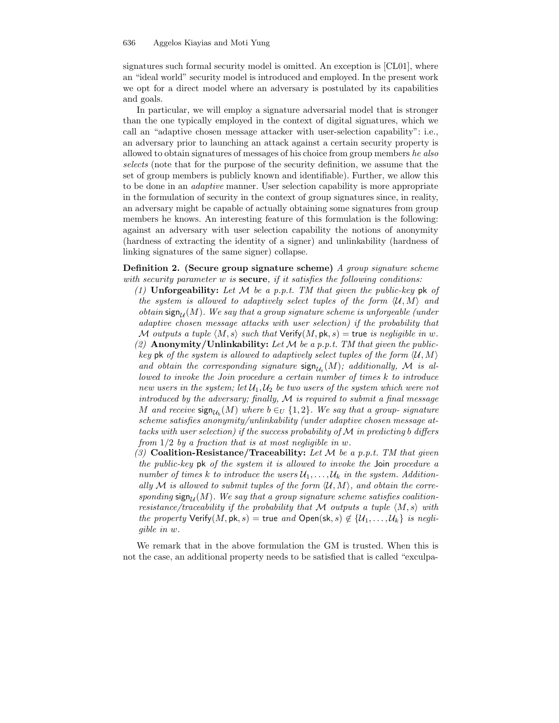signatures such formal security model is omitted. An exception is [CL01], where an "ideal world" security model is introduced and employed. In the present work we opt for a direct model where an adversary is postulated by its capabilities and goals.

In particular, we will employ a signature adversarial model that is stronger than the one typically employed in the context of digital signatures, which we call an "adaptive chosen message attacker with user-selection capability": i.e., an adversary prior to launching an attack against a certain security property is allowed to obtain signatures of messages of his choice from group members he also selects (note that for the purpose of the security definition, we assume that the set of group members is publicly known and identifiable). Further, we allow this to be done in an adaptive manner. User selection capability is more appropriate in the formulation of security in the context of group signatures since, in reality, an adversary might be capable of actually obtaining some signatures from group members he knows. An interesting feature of this formulation is the following: against an adversary with user selection capability the notions of anonymity (hardness of extracting the identity of a signer) and unlinkability (hardness of linking signatures of the same signer) collapse.

Definition 2. (Secure group signature scheme) A group signature scheme with security parameter  $w$  is secure, if it satisfies the following conditions:

- (1) Unforgeability: Let  $M$  be a p.p.t. TM that given the public-key pk of the system is allowed to adaptively select tuples of the form  $\langle \mathcal{U}, M \rangle$  and obtain sign<sub> $U(M)$ </sub>. We say that a group signature scheme is unforgeable (under adaptive chosen message attacks with user selection) if the probability that M outputs a tuple  $\langle M, s \rangle$  such that Verify(M, pk, s) = true is negligible in w.
- (2) **Anonymity/Unlinkability:** Let M be a p.p.t. TM that given the publickey pk of the system is allowed to adaptively select tuples of the form  $\langle \mathcal{U}, M \rangle$ and obtain the corresponding signature  $\operatorname{sign}_{\mathcal{U}_t}(M)$ ; additionally, M is allowed to invoke the Join procedure a certain number of times k to introduce new users in the system; let  $\mathcal{U}_1, \mathcal{U}_2$  be two users of the system which were not introduced by the adversary; finally, M is required to submit a final message M and receive  $\textsf{sign}_{\mathcal{U}_b}(M)$  where  $b \in_U \{1,2\}$ . We say that a group-signature scheme satisfies anonymity/unlinkability (under adaptive chosen message attacks with user selection) if the success probability of  $M$  in predicting b differs from  $1/2$  by a fraction that is at most negligible in w.
- (3) Coalition-Resistance/Traceability: Let  $M$  be a p.p.t. TM that given the public-key pk of the system it is allowed to invoke the Join procedure a number of times k to introduce the users  $\mathcal{U}_1, \ldots, \mathcal{U}_k$  in the system. Additionally M is allowed to submit tuples of the form  $\langle \mathcal{U}, M \rangle$ , and obtain the corresponding sign<sub>U</sub>(M). We say that a group signature scheme satisfies coalitionresistance/traceability if the probability that M outputs a tuple  $\langle M, s \rangle$  with the property Verify(M, pk, s) = true and Open(sk, s)  $\notin \{U_1, \ldots, U_k\}$  is negligible in w.

We remark that in the above formulation the GM is trusted. When this is not the case, an additional property needs to be satisfied that is called "exculpa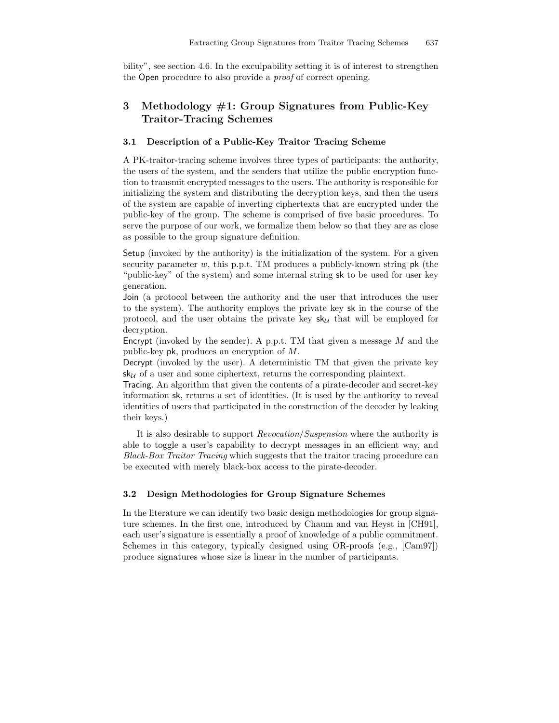bility", see section 4.6. In the exculpability setting it is of interest to strengthen the Open procedure to also provide a proof of correct opening.

# 3 Methodology #1: Group Signatures from Public-Key Traitor-Tracing Schemes

#### 3.1 Description of a Public-Key Traitor Tracing Scheme

A PK-traitor-tracing scheme involves three types of participants: the authority, the users of the system, and the senders that utilize the public encryption function to transmit encrypted messages to the users. The authority is responsible for initializing the system and distributing the decryption keys, and then the users of the system are capable of inverting ciphertexts that are encrypted under the public-key of the group. The scheme is comprised of five basic procedures. To serve the purpose of our work, we formalize them below so that they are as close as possible to the group signature definition.

Setup (invoked by the authority) is the initialization of the system. For a given security parameter  $w$ , this p.p.t. TM produces a publicly-known string  $pk$  (the "public-key" of the system) and some internal string sk to be used for user key generation.

Join (a protocol between the authority and the user that introduces the user to the system). The authority employs the private key sk in the course of the protocol, and the user obtains the private key  $sk_{\mathcal{U}}$  that will be employed for decryption.

Encrypt (invoked by the sender). A p.p.t. TM that given a message  $M$  and the public-key pk, produces an encryption of M.

Decrypt (invoked by the user). A deterministic TM that given the private key  $sk_{\mathcal{U}}$  of a user and some ciphertext, returns the corresponding plaintext.

Tracing. An algorithm that given the contents of a pirate-decoder and secret-key information sk, returns a set of identities. (It is used by the authority to reveal identities of users that participated in the construction of the decoder by leaking their keys.)

It is also desirable to support Revocation/Suspension where the authority is able to toggle a user's capability to decrypt messages in an efficient way, and Black-Box Traitor Tracing which suggests that the traitor tracing procedure can be executed with merely black-box access to the pirate-decoder.

### 3.2 Design Methodologies for Group Signature Schemes

In the literature we can identify two basic design methodologies for group signature schemes. In the first one, introduced by Chaum and van Heyst in [CH91], each user's signature is essentially a proof of knowledge of a public commitment. Schemes in this category, typically designed using OR-proofs (e.g., [Cam97]) produce signatures whose size is linear in the number of participants.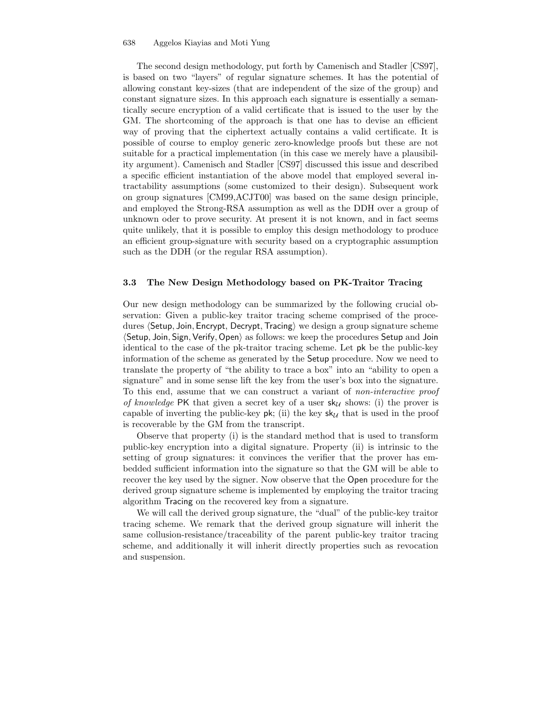#### 638 Aggelos Kiayias and Moti Yung

The second design methodology, put forth by Camenisch and Stadler [CS97], is based on two "layers" of regular signature schemes. It has the potential of allowing constant key-sizes (that are independent of the size of the group) and constant signature sizes. In this approach each signature is essentially a semantically secure encryption of a valid certificate that is issued to the user by the GM. The shortcoming of the approach is that one has to devise an efficient way of proving that the ciphertext actually contains a valid certificate. It is possible of course to employ generic zero-knowledge proofs but these are not suitable for a practical implementation (in this case we merely have a plausibility argument). Camenisch and Stadler [CS97] discussed this issue and described a specific efficient instantiation of the above model that employed several intractability assumptions (some customized to their design). Subsequent work on group signatures [CM99,ACJT00] was based on the same design principle, and employed the Strong-RSA assumption as well as the DDH over a group of unknown oder to prove security. At present it is not known, and in fact seems quite unlikely, that it is possible to employ this design methodology to produce an efficient group-signature with security based on a cryptographic assumption such as the DDH (or the regular RSA assumption).

### 3.3 The New Design Methodology based on PK-Traitor Tracing

Our new design methodology can be summarized by the following crucial observation: Given a public-key traitor tracing scheme comprised of the procedures (Setup, Join, Encrypt, Decrypt, Tracing) we design a group signature scheme  $\langle$ Setup, Join, Sign, Verify, Open $\rangle$  as follows: we keep the procedures Setup and Join identical to the case of the pk-traitor tracing scheme. Let pk be the public-key information of the scheme as generated by the Setup procedure. Now we need to translate the property of "the ability to trace a box" into an "ability to open a signature" and in some sense lift the key from the user's box into the signature. To this end, assume that we can construct a variant of non-interactive proof of knowledge PK that given a secret key of a user  $sk_{\mathcal{U}}$  shows: (i) the prover is capable of inverting the public-key pk; (ii) the key  $sk_{\mathcal{U}}$  that is used in the proof is recoverable by the GM from the transcript.

Observe that property (i) is the standard method that is used to transform public-key encryption into a digital signature. Property (ii) is intrinsic to the setting of group signatures: it convinces the verifier that the prover has embedded sufficient information into the signature so that the GM will be able to recover the key used by the signer. Now observe that the Open procedure for the derived group signature scheme is implemented by employing the traitor tracing algorithm Tracing on the recovered key from a signature.

We will call the derived group signature, the "dual" of the public-key traitor tracing scheme. We remark that the derived group signature will inherit the same collusion-resistance/traceability of the parent public-key traitor tracing scheme, and additionally it will inherit directly properties such as revocation and suspension.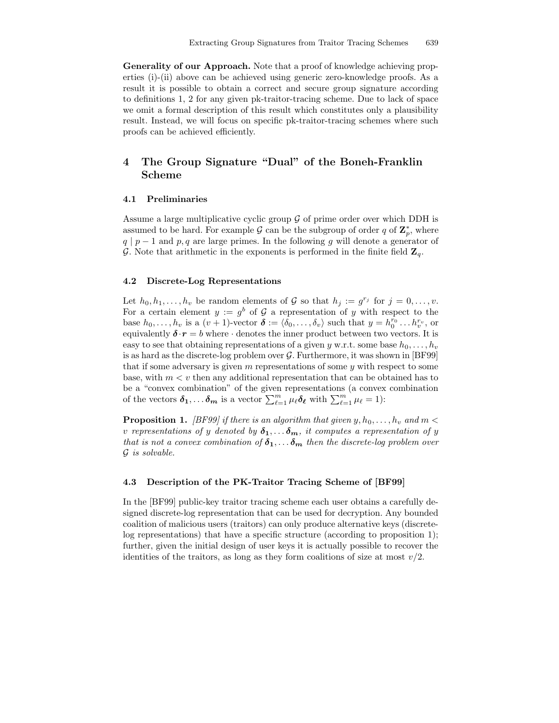Generality of our Approach. Note that a proof of knowledge achieving properties (i)-(ii) above can be achieved using generic zero-knowledge proofs. As a result it is possible to obtain a correct and secure group signature according to definitions 1, 2 for any given pk-traitor-tracing scheme. Due to lack of space we omit a formal description of this result which constitutes only a plausibility result. Instead, we will focus on specific pk-traitor-tracing schemes where such proofs can be achieved efficiently.

# 4 The Group Signature "Dual" of the Boneh-Franklin Scheme

#### 4.1 Preliminaries

Assume a large multiplicative cyclic group  $\mathcal G$  of prime order over which DDH is assumed to be hard. For example  $\mathcal G$  can be the subgroup of order q of  $\mathbf Z_p^*$ , where  $q | p - 1$  and p, q are large primes. In the following g will denote a generator of G. Note that arithmetic in the exponents is performed in the finite field  $\mathbf{Z}_q$ .

### 4.2 Discrete-Log Representations

Let  $h_0, h_1, \ldots, h_v$  be random elements of G so that  $h_j := g^{r_j}$  for  $j = 0, \ldots, v$ . For a certain element  $y := g^b$  of G a representation of y with respect to the base  $h_0, \ldots, h_v$  is a  $(v+1)$ -vector  $\boldsymbol{\delta} := \langle \delta_0, \ldots, \delta_v \rangle$  such that  $y = h_0^{r_0} \ldots h_v^{r_v}$ , or equivalently  $\delta \cdot r = b$  where  $\cdot$  denotes the inner product between two vectors. It is easy to see that obtaining representations of a given y w.r.t. some base  $h_0, \ldots, h_v$ is as hard as the discrete-log problem over  $\mathcal G$ . Furthermore, it was shown in [BF99] that if some adversary is given  $m$  representations of some  $y$  with respect to some base, with  $m < v$  then any additional representation that can be obtained has to be a "convex combination" of the given representations (a convex combination of the vectors  $\boldsymbol{\delta}_1, \ldots \boldsymbol{\delta}_m$  is a vector  $\sum_{\ell=1}^m \mu_\ell \boldsymbol{\delta}_\ell$  with  $\sum_{\ell=1}^m \mu_\ell = 1$ :

**Proposition 1.** [BF99] if there is an algorithm that given  $y, h_0, \ldots, h_v$  and  $m <$ v representations of y denoted by  $\delta_1, \ldots, \delta_m$ , it computes a representation of y that is not a convex combination of  $\delta_1, \ldots, \delta_m$  then the discrete-log problem over G is solvable.

#### 4.3 Description of the PK-Traitor Tracing Scheme of [BF99]

In the [BF99] public-key traitor tracing scheme each user obtains a carefully designed discrete-log representation that can be used for decryption. Any bounded coalition of malicious users (traitors) can only produce alternative keys (discretelog representations) that have a specific structure (according to proposition 1); further, given the initial design of user keys it is actually possible to recover the identities of the traitors, as long as they form coalitions of size at most  $v/2$ .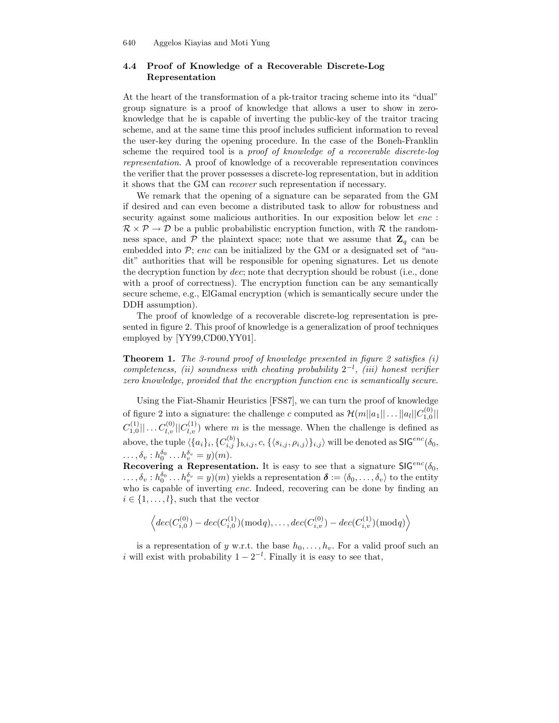# 4.4 Proof of Knowledge of a Recoverable Discrete-Log Representation

At the heart of the transformation of a pk-traitor tracing scheme into its "dual" group signature is a proof of knowledge that allows a user to show in zeroknowledge that he is capable of inverting the public-key of the traitor tracing scheme, and at the same time this proof includes sufficient information to reveal the user-key during the opening procedure. In the case of the Boneh-Franklin scheme the required tool is a proof of knowledge of a recoverable discrete-log representation. A proof of knowledge of a recoverable representation convinces the verifier that the prover possesses a discrete-log representation, but in addition it shows that the GM can recover such representation if necessary.

We remark that the opening of a signature can be separated from the GM if desired and can even become a distributed task to allow for robustness and security against some malicious authorities. In our exposition below let enc :  $\mathcal{R} \times \mathcal{P} \to \mathcal{D}$  be a public probabilistic encryption function, with  $\mathcal{R}$  the randomness space, and  $\mathcal P$  the plaintext space; note that we assume that  $\mathbb{Z}_q$  can be embedded into  $P$ ; enc can be initialized by the GM or a designated set of "audit" authorities that will be responsible for opening signatures. Let us denote the decryption function by *dec*; note that decryption should be robust (i.e., done with a proof of correctness). The encryption function can be any semantically secure scheme, e.g., ElGamal encryption (which is semantically secure under the DDH assumption).

The proof of knowledge of a recoverable discrete-log representation is presented in figure 2. This proof of knowledge is a generalization of proof techniques employed by [YY99,CD00,YY01].

**Theorem 1.** The 3-round proof of knowledge presented in figure 2 satisfies  $(i)$ completeness, (ii) soundness with cheating probability  $2^{-l}$ , (iii) honest verifier zero knowledge, provided that the encryption function enc is semantically secure.

Using the Fiat-Shamir Heuristics [FS87], we can turn the proof of knowledge of figure 2 into a signature: the challenge c computed as  $\mathcal{H}(m||a_1|| \dots ||a_l||C_{1,0}^{(0)}||$  $C_{1,0}^{(1)}\vert \vert \ldots C_{l,v}^{(0)}\vert \vert C_{l,v}^{(1)}$  where m is the message. When the challenge is defined as above, the tuple  $\langle \{a_i\}_i, \{C_{i,j}^{(b)}\}_{b,i,j}, c, \{\langle s_{i,j}, \rho_{i,j}\rangle\}_{i,j} \rangle$  will be denoted as  $\mathsf{SIG}^{enc}(\delta_0,$  $\ldots, \delta_v : h_0^{\delta_0} \ldots h_v^{\delta_v} = y(m).$ 

Recovering a Representation. It is easy to see that a signature  $\mathsf{SIG}^{enc}(\delta_0)$ ,  $\ldots, \delta_v: h^{\delta_0}_0 \ldots h^{\delta_v}_v = y)(m)$  yields a representation  $\boldsymbol{\delta} := \langle \delta_0, \ldots, \delta_v \rangle$  to the entity who is capable of inverting *enc*. Indeed, recovering can be done by finding an  $i \in \{1, \ldots, l\}$ , such that the vector

$$
\left
$$

is a representation of y w.r.t. the base  $h_0, \ldots, h_v$ . For a valid proof such an i will exist with probability  $1 - 2^{-l}$ . Finally it is easy to see that,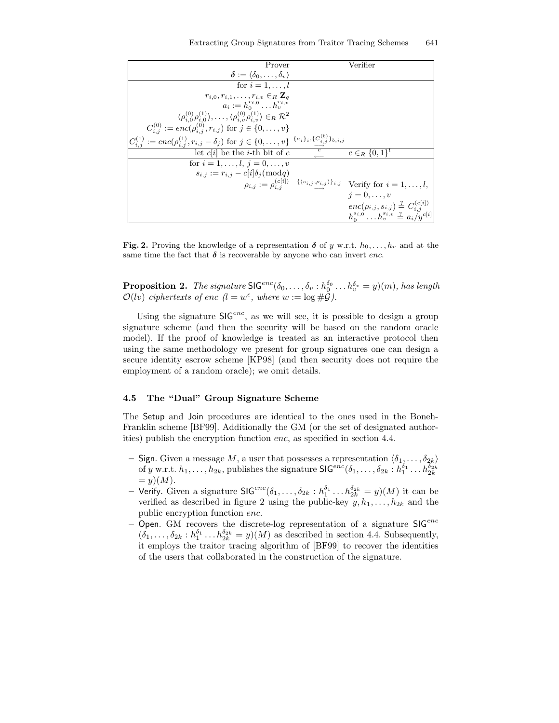| Prover                                                                                                                             | Verifier                                                                                                                           |
|------------------------------------------------------------------------------------------------------------------------------------|------------------------------------------------------------------------------------------------------------------------------------|
| $\boldsymbol{\delta} := \langle \delta_0, \ldots, \delta_v \rangle$                                                                |                                                                                                                                    |
| for $i=1,\ldots,l$                                                                                                                 |                                                                                                                                    |
| $r_{i,0}, r_{i,1}, \ldots, r_{i,v} \in_R \mathbf{Z}_q$                                                                             |                                                                                                                                    |
| $a_i := h_0^{r_{i,0}} \dots h_v^{r_{i,v}}$                                                                                         |                                                                                                                                    |
| $\langle \rho_{i,0}^{(0)} \rho_{i,0}^{(1)} \rangle, \ldots, \langle \rho_{i,v}^{(0)} \rho_{i,v}^{(1)} \rangle \in_R \mathcal{R}^2$ |                                                                                                                                    |
| $C_{i,j}^{(0)} := enc(\rho_{i,j}^{(0)}, r_{i,j})$ for $j \in \{0, , v\}$                                                           |                                                                                                                                    |
| $C_{i,j}^{(1)} := enc(\rho_{i,j}^{(1)}, r_{i,j} - \delta_j)$ for $j \in \{0, , v\}$ $\{a_i\}_{i,j}$ , $\{C_{i,j}^{(b)}\}_{b,i,j}$  |                                                                                                                                    |
| let $c[i]$ be the <i>i</i> -th bit of c                                                                                            | $c \in_R \{0,1\}^l$                                                                                                                |
| for $i = 1, , l, j = 0, , v$                                                                                                       |                                                                                                                                    |
| $s_{i,j} := r_{i,j} - c[i] \delta_i \pmod{q}$                                                                                      |                                                                                                                                    |
|                                                                                                                                    | $\rho_{i,j} := \rho_{i,j}^{(c[i])} \xrightarrow{\{\langle s_{i,j}, \rho_{i,j}\rangle\}_{i,j}} \text{Verify for } i = 1,\ldots, l,$ |
|                                                                                                                                    | $i=0,\ldots,v$                                                                                                                     |
|                                                                                                                                    | $enc(\rho_{i,j}, s_{i,j}) \stackrel{?}{=} C_{i,j}^{(c[i])}$                                                                        |
|                                                                                                                                    | $h_0^{s_{i,0}}\ldots h_v^{s_{i,v}} \stackrel{?}{=} a_i \hat{/} u^{c[i]}$                                                           |

Fig. 2. Proving the knowledge of a representation  $\delta$  of y w.r.t.  $h_0, \ldots, h_v$  and at the same time the fact that  $\delta$  is recoverable by anyone who can invert enc.

**Proposition 2.** The signature  $\mathsf{SIG}^{enc}(\delta_0, \ldots, \delta_v : h_0^{\delta_0} \ldots h_v^{\delta_v} = y)(m)$ , has length  $\mathcal{O}(lv)$  ciphertexts of enc  $(l = w^{\epsilon},$  where  $w := \log \#\mathcal{G}$ ).

Using the signature  $\mathsf{SIG}^{enc}$ , as we will see, it is possible to design a group signature scheme (and then the security will be based on the random oracle model). If the proof of knowledge is treated as an interactive protocol then using the same methodology we present for group signatures one can design a secure identity escrow scheme [KP98] (and then security does not require the employment of a random oracle); we omit details.

### 4.5 The "Dual" Group Signature Scheme

The Setup and Join procedures are identical to the ones used in the Boneh-Franklin scheme [BF99]. Additionally the GM (or the set of designated authorities) publish the encryption function enc, as specified in section 4.4.

- Sign. Given a message M, a user that possesses a representation  $\langle \delta_1, \ldots, \delta_{2k} \rangle$ of y w.r.t.  $h_1, \ldots, h_{2k}$ , publishes the signature  $\mathsf{SIG}^{enc}(\delta_1, \ldots, \delta_{2k} : h_1^{\delta_1} \ldots h_{2k}^{\delta_{2k}})$  $=y)(M).$
- Verify. Given a signature  $\textsf{SIG}^{enc}(\delta_1, \ldots, \delta_{2k} : h_1^{\delta_1} \ldots h_{2k}^{\delta_{2k}} = y)(M)$  it can be verified as described in figure 2 using the public-key  $y, h_1, \ldots, h_{2k}$  and the public encryption function enc.
- Open. GM recovers the discrete-log representation of a signature  $SIG^{enc}$  $(\delta_1,\ldots,\delta_{2k}:h_1^{\delta_1}\ldots h_{2k}^{\delta_{2k}}=y)(M)$  as described in section 4.4. Subsequently, it employs the traitor tracing algorithm of [BF99] to recover the identities of the users that collaborated in the construction of the signature.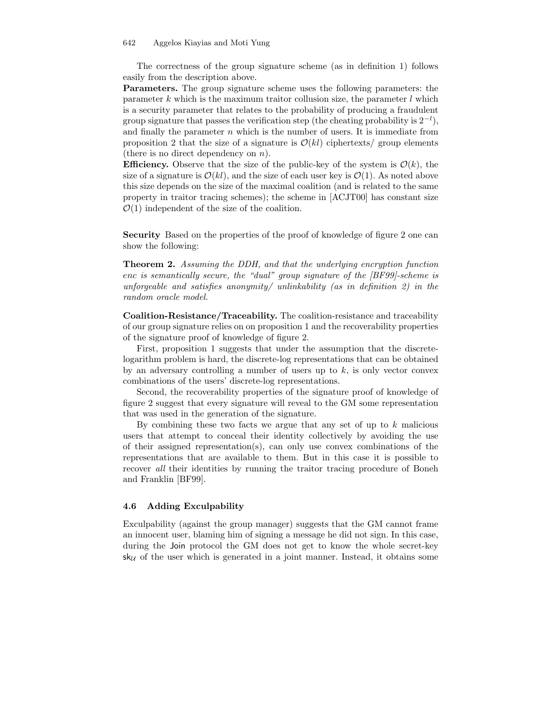#### 642 Aggelos Kiayias and Moti Yung

The correctness of the group signature scheme (as in definition 1) follows easily from the description above.

Parameters. The group signature scheme uses the following parameters: the parameter  $k$  which is the maximum traitor collusion size, the parameter  $l$  which is a security parameter that relates to the probability of producing a fraudulent group signature that passes the verification step (the cheating probability is  $2^{-l}$ ), and finally the parameter  $n$  which is the number of users. It is immediate from proposition 2 that the size of a signature is  $\mathcal{O}(kl)$  ciphertexts/ group elements (there is no direct dependency on  $n$ ).

**Efficiency.** Observe that the size of the public-key of the system is  $\mathcal{O}(k)$ , the size of a signature is  $\mathcal{O}(kl)$ , and the size of each user key is  $\mathcal{O}(1)$ . As noted above this size depends on the size of the maximal coalition (and is related to the same property in traitor tracing schemes); the scheme in [ACJT00] has constant size  $\mathcal{O}(1)$  independent of the size of the coalition.

Security Based on the properties of the proof of knowledge of figure 2 one can show the following:

Theorem 2. Assuming the DDH, and that the underlying encryption function enc is semantically secure, the "dual" group signature of the [BF99]-scheme is unforgeable and satisfies anonymity unlinkability (as in definition 2) in the random oracle model.

Coalition-Resistance/Traceability. The coalition-resistance and traceability of our group signature relies on on proposition 1 and the recoverability properties of the signature proof of knowledge of figure 2.

First, proposition 1 suggests that under the assumption that the discretelogarithm problem is hard, the discrete-log representations that can be obtained by an adversary controlling a number of users up to  $k$ , is only vector convex combinations of the users' discrete-log representations.

Second, the recoverability properties of the signature proof of knowledge of figure 2 suggest that every signature will reveal to the GM some representation that was used in the generation of the signature.

By combining these two facts we argue that any set of up to  $k$  malicious users that attempt to conceal their identity collectively by avoiding the use of their assigned representation(s), can only use convex combinations of the representations that are available to them. But in this case it is possible to recover all their identities by running the traitor tracing procedure of Boneh and Franklin [BF99].

#### 4.6 Adding Exculpability

Exculpability (against the group manager) suggests that the GM cannot frame an innocent user, blaming him of signing a message he did not sign. In this case, during the Join protocol the GM does not get to know the whole secret-key  $sk_{\mathcal{U}}$  of the user which is generated in a joint manner. Instead, it obtains some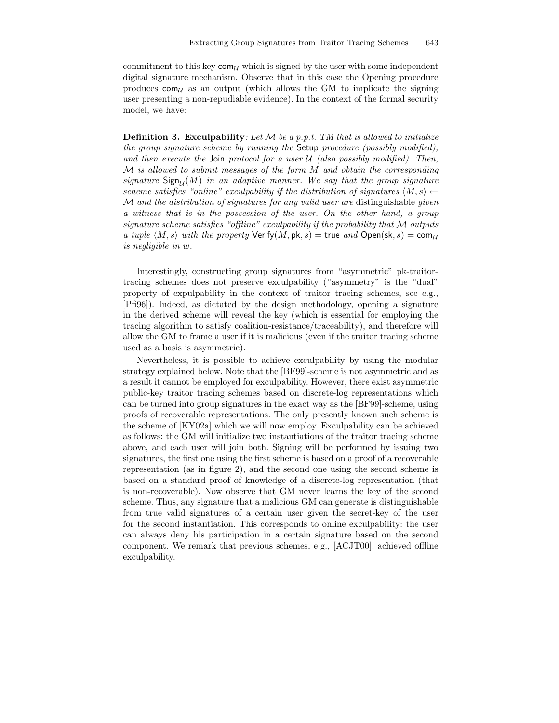commitment to this key com<sub>U</sub> which is signed by the user with some independent digital signature mechanism. Observe that in this case the Opening procedure produces  $com_{\mathcal{U}}$  as an output (which allows the GM to implicate the signing user presenting a non-repudiable evidence). In the context of the formal security model, we have:

**Definition 3. Exculpability**: Let  $\mathcal M$  be a p.p.t. TM that is allowed to initialize the group signature scheme by running the Setup procedure (possibly modified), and then execute the Join protocol for a user  $\mathcal U$  (also possibly modified). Then, M is allowed to submit messages of the form M and obtain the corresponding signature  $\text{Sign}_{\mathcal{U}}(M)$  in an adaptive manner. We say that the group signature scheme satisfies "online" exculpability if the distribution of signatures  $\langle M, s \rangle \leftarrow$ M and the distribution of signatures for any valid user are distinguishable given a witness that is in the possession of the user. On the other hand, a group signature scheme satisfies "offline" exculpability if the probability that  $\mathcal M$  outputs a tuple  $\langle M, s \rangle$  with the property Verify(M, pk, s) = true and Open(sk, s) = com $\mathcal{U}$ is negligible in w.

Interestingly, constructing group signatures from "asymmetric" pk-traitortracing schemes does not preserve exculpability ("asymmetry" is the "dual" property of expulpability in the context of traitor tracing schemes, see e.g., [Pfi96]). Indeed, as dictated by the design methodology, opening a signature in the derived scheme will reveal the key (which is essential for employing the tracing algorithm to satisfy coalition-resistance/traceability), and therefore will allow the GM to frame a user if it is malicious (even if the traitor tracing scheme used as a basis is asymmetric).

Nevertheless, it is possible to achieve exculpability by using the modular strategy explained below. Note that the [BF99]-scheme is not asymmetric and as a result it cannot be employed for exculpability. However, there exist asymmetric public-key traitor tracing schemes based on discrete-log representations which can be turned into group signatures in the exact way as the [BF99]-scheme, using proofs of recoverable representations. The only presently known such scheme is the scheme of [KY02a] which we will now employ. Exculpability can be achieved as follows: the GM will initialize two instantiations of the traitor tracing scheme above, and each user will join both. Signing will be performed by issuing two signatures, the first one using the first scheme is based on a proof of a recoverable representation (as in figure 2), and the second one using the second scheme is based on a standard proof of knowledge of a discrete-log representation (that is non-recoverable). Now observe that GM never learns the key of the second scheme. Thus, any signature that a malicious GM can generate is distinguishable from true valid signatures of a certain user given the secret-key of the user for the second instantiation. This corresponds to online exculpability: the user can always deny his participation in a certain signature based on the second component. We remark that previous schemes, e.g., [ACJT00], achieved offline exculpability.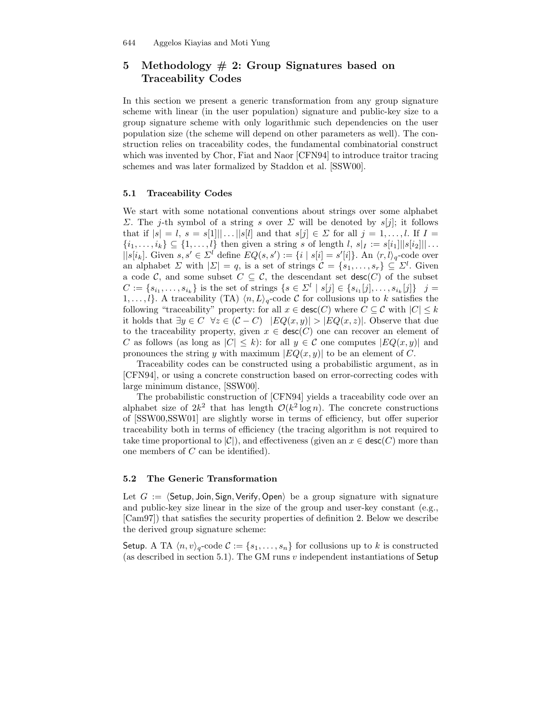# 5 Methodology  $# 2$ : Group Signatures based on Traceability Codes

In this section we present a generic transformation from any group signature scheme with linear (in the user population) signature and public-key size to a group signature scheme with only logarithmic such dependencies on the user population size (the scheme will depend on other parameters as well). The construction relies on traceability codes, the fundamental combinatorial construct which was invented by Chor, Fiat and Naor [CFN94] to introduce traitor tracing schemes and was later formalized by Staddon et al. [SSW00].

#### 5.1 Traceability Codes

We start with some notational conventions about strings over some alphabet Σ. The j-th symbol of a string s over Σ will be denoted by  $s[j]$ ; it follows that if  $|s| = l$ ,  $s = s[1] \dots |s[l]$  and that  $s[j] \in \Sigma$  for all  $j = 1, \dots, l$ . If  $I =$  $\{i_1, \ldots, i_k\} \subseteq \{1, \ldots, l\}$  then given a string s of length  $l, s|_I := s[i_1] \, ||s[i_2]|| \ldots$  $||s[i_k]$ . Given  $s, s' \in \Sigma^l$  define  $EQ(s, s') := \{i \mid s[i] = s'[i]\}$ . An  $\langle r, l \rangle_q$ -code over an alphabet  $\Sigma$  with  $|\Sigma| = q$ , is a set of strings  $\mathcal{C} = \{s_1, \ldots, s_r\} \subseteq \Sigma^l$ . Given a code C, and some subset  $C \subseteq \mathcal{C}$ , the descendant set  $\mathsf{desc}(C)$  of the subset  $C := \{s_{i_1}, \ldots, s_{i_k}\}\$ is the set of strings  $\{s \in \Sigma^l \mid s[j] \in \{s_{i_1}[j], \ldots, s_{i_k}[j]\}\$   $j =$  $1, \ldots, l$ . A traceability (TA)  $\langle n, L \rangle_q$ -code C for collusions up to k satisfies the following "traceability" property: for all  $x \in \text{desc}(C)$  where  $C \subseteq \mathcal{C}$  with  $|C| \leq k$ it holds that  $\exists y \in C \ \forall z \in (C - C) \ |EQ(x, y)| > |EQ(x, z)|$ . Observe that due to the traceability property, given  $x \in \text{desc}(C)$  one can recover an element of C as follows (as long as  $|C| \leq k$ ): for all  $y \in C$  one computes  $|EQ(x, y)|$  and pronounces the string y with maximum  $|EQ(x, y)|$  to be an element of C.

Traceability codes can be constructed using a probabilistic argument, as in [CFN94], or using a concrete construction based on error-correcting codes with large minimum distance, [SSW00].

The probabilistic construction of [CFN94] yields a traceability code over an alphabet size of  $2k^2$  that has length  $\mathcal{O}(k^2 \log n)$ . The concrete constructions of [SSW00,SSW01] are slightly worse in terms of efficiency, but offer superior traceability both in terms of efficiency (the tracing algorithm is not required to take time proportional to  $|\mathcal{C}|$ , and effectiveness (given an  $x \in \text{desc}(C)$  more than one members of C can be identified).

#### 5.2 The Generic Transformation

Let  $G := \langle$  Setup, Join, Sign, Verify, Open $\rangle$  be a group signature with signature and public-key size linear in the size of the group and user-key constant (e.g., [Cam97]) that satisfies the security properties of definition 2. Below we describe the derived group signature scheme:

Setup. A TA  $\langle n, v \rangle_q$ -code  $\mathcal{C} := \{s_1, \ldots, s_n\}$  for collusions up to k is constructed (as described in section 5.1). The GM runs  $v$  independent instantiations of Setup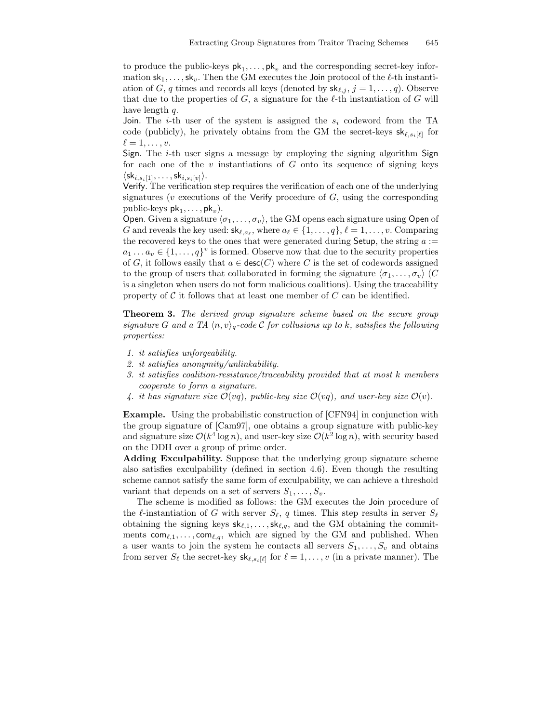to produce the public-keys  $\mathsf{pk}_1, \ldots, \mathsf{pk}_v$  and the corresponding secret-key information  $sk_1, \ldots, sk_v$ . Then the GM executes the Join protocol of the  $\ell$ -th instantiation of G, q times and records all keys (denoted by  $sk_{\ell,j}, j = 1, \ldots, q$ ). Observe that due to the properties of  $G$ , a signature for the  $\ell$ -th instantiation of  $G$  will have length  $q$ .

Join. The *i*-th user of the system is assigned the  $s_i$  codeword from the TA code (publicly), he privately obtains from the GM the secret-keys  $sk_{\ell,s_i[\ell]}$  for  $\ell = 1, \ldots, v.$ 

Sign. The *i*-th user signs a message by employing the signing algorithm Sign for each one of the  $v$  instantiations of  $G$  onto its sequence of signing keys  $\langle s k_{i,s_i[1]}, \ldots, s k_{i,s_i[v]}\rangle.$ 

Verify. The verification step requires the verification of each one of the underlying signatures (v executions of the Verify procedure of  $G$ , using the corresponding public-keys  $pk_1, \ldots, pk_v$ ).

Open. Given a signature  $\langle \sigma_1, \ldots, \sigma_v \rangle$ , the GM opens each signature using Open of G and reveals the key used:  $\mathsf{sk}_{\ell,a_{\ell}},$  where  $a_{\ell} \in \{1, \ldots, q\}, \ell = 1, \ldots, v$ . Comparing the recovered keys to the ones that were generated during  $Setup$ , the string  $a :=$  $a_1 \ldots a_v \in \{1, \ldots, q\}^v$  is formed. Observe now that due to the security properties of G, it follows easily that  $a \in \text{desc}(C)$  where C is the set of codewords assigned to the group of users that collaborated in forming the signature  $\langle \sigma_1, \ldots, \sigma_v \rangle$  (C is a singleton when users do not form malicious coalitions). Using the traceability property of  $\mathcal C$  it follows that at least one member of  $C$  can be identified.

**Theorem 3.** The derived group signature scheme based on the secure group signature G and a TA  $\langle n, v \rangle_q$ -code C for collusions up to k, satisfies the following properties:

- 1. it satisfies unforgeability.
- 2. it satisfies anonymity/unlinkability.
- 3. it satisfies coalition-resistance/traceability provided that at most k members cooperate to form a signature.
- 4. it has signature size  $\mathcal{O}(vq)$ , public-key size  $\mathcal{O}(vq)$ , and user-key size  $\mathcal{O}(v)$ .

Example. Using the probabilistic construction of [CFN94] in conjunction with the group signature of [Cam97], one obtains a group signature with public-key and signature size  $\mathcal{O}(k^4 \log n)$ , and user-key size  $\mathcal{O}(k^2 \log n)$ , with security based on the DDH over a group of prime order.

Adding Exculpability. Suppose that the underlying group signature scheme also satisfies exculpability (defined in section 4.6). Even though the resulting scheme cannot satisfy the same form of exculpability, we can achieve a threshold variant that depends on a set of servers  $S_1, \ldots, S_v$ .

The scheme is modified as follows: the GM executes the Join procedure of the  $\ell$ -instantiation of G with server  $S_{\ell}$ , q times. This step results in server  $S_{\ell}$ obtaining the signing keys  $sk_{\ell,1}, \ldots, sk_{\ell,q}$ , and the GM obtaining the commitments  $\text{com}_{\ell,1}, \ldots, \text{com}_{\ell,q}$ , which are signed by the GM and published. When a user wants to join the system he contacts all servers  $S_1, \ldots, S_v$  and obtains from server  $S_\ell$  the secret-key  $\mathsf{sk}_{\ell,s_i[\ell]}$  for  $\ell = 1,\ldots,v$  (in a private manner). The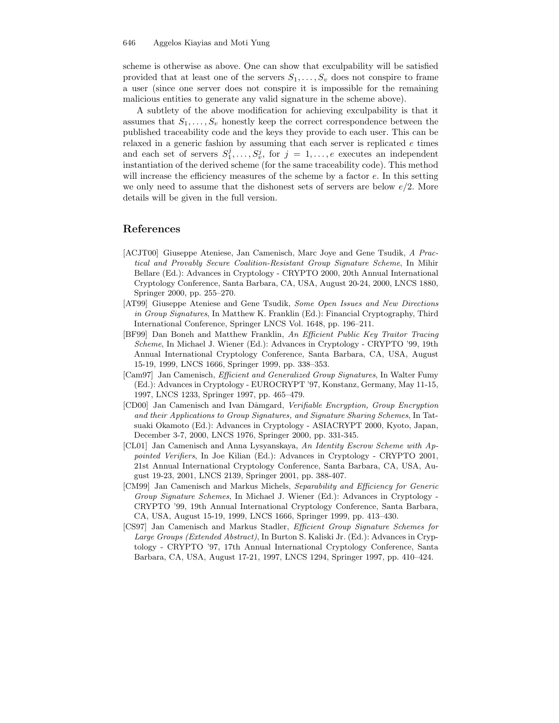scheme is otherwise as above. One can show that exculpability will be satisfied provided that at least one of the servers  $S_1, \ldots, S_v$  does not conspire to frame a user (since one server does not conspire it is impossible for the remaining malicious entities to generate any valid signature in the scheme above).

A subtlety of the above modification for achieving exculpability is that it assumes that  $S_1, \ldots, S_v$  honestly keep the correct correspondence between the published traceability code and the keys they provide to each user. This can be relaxed in a generic fashion by assuming that each server is replicated  $e$  times and each set of servers  $S_1^j, \ldots, S_v^j$ , for  $j = 1, \ldots, e$  executes an independent instantiation of the derived scheme (for the same traceability code). This method will increase the efficiency measures of the scheme by a factor  $e$ . In this setting we only need to assume that the dishonest sets of servers are below  $e/2$ . More details will be given in the full version.

# References

- [ACJT00] Giuseppe Ateniese, Jan Camenisch, Marc Joye and Gene Tsudik, A Practical and Provably Secure Coalition-Resistant Group Signature Scheme, In Mihir Bellare (Ed.): Advances in Cryptology - CRYPTO 2000, 20th Annual International Cryptology Conference, Santa Barbara, CA, USA, August 20-24, 2000, LNCS 1880, Springer 2000, pp. 255–270.
- [AT99] Giuseppe Ateniese and Gene Tsudik, Some Open Issues and New Directions in Group Signatures, In Matthew K. Franklin (Ed.): Financial Cryptography, Third International Conference, Springer LNCS Vol. 1648, pp. 196–211.
- [BF99] Dan Boneh and Matthew Franklin, An Efficient Public Key Traitor Tracing Scheme, In Michael J. Wiener (Ed.): Advances in Cryptology - CRYPTO '99, 19th Annual International Cryptology Conference, Santa Barbara, CA, USA, August 15-19, 1999, LNCS 1666, Springer 1999, pp. 338–353.
- [Cam97] Jan Camenisch, Efficient and Generalized Group Signatures, In Walter Fumy (Ed.): Advances in Cryptology - EUROCRYPT '97, Konstanz, Germany, May 11-15, 1997, LNCS 1233, Springer 1997, pp. 465–479.
- [CD00] Jan Camenisch and Ivan Dåmgard, Verifiable Encryption, Group Encryption and their Applications to Group Signatures, and Signature Sharing Schemes, In Tatsuaki Okamoto (Ed.): Advances in Cryptology - ASIACRYPT 2000, Kyoto, Japan, December 3-7, 2000, LNCS 1976, Springer 2000, pp. 331-345.
- [CL01] Jan Camenisch and Anna Lysyanskaya, An Identity Escrow Scheme with Appointed Verifiers, In Joe Kilian (Ed.): Advances in Cryptology - CRYPTO 2001, 21st Annual International Cryptology Conference, Santa Barbara, CA, USA, August 19-23, 2001, LNCS 2139, Springer 2001, pp. 388-407.
- [CM99] Jan Camenisch and Markus Michels, Separability and Efficiency for Generic Group Signature Schemes, In Michael J. Wiener (Ed.): Advances in Cryptology - CRYPTO '99, 19th Annual International Cryptology Conference, Santa Barbara, CA, USA, August 15-19, 1999, LNCS 1666, Springer 1999, pp. 413–430.
- [CS97] Jan Camenisch and Markus Stadler, Efficient Group Signature Schemes for Large Groups (Extended Abstract), In Burton S. Kaliski Jr. (Ed.): Advances in Cryptology - CRYPTO '97, 17th Annual International Cryptology Conference, Santa Barbara, CA, USA, August 17-21, 1997, LNCS 1294, Springer 1997, pp. 410–424.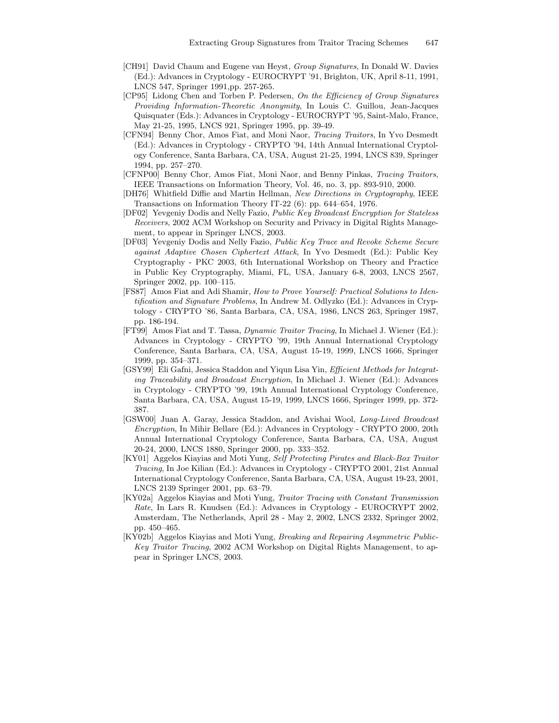- [CH91] David Chaum and Eugene van Heyst, Group Signatures, In Donald W. Davies (Ed.): Advances in Cryptology - EUROCRYPT '91, Brighton, UK, April 8-11, 1991, LNCS 547, Springer 1991,pp. 257-265.
- [CP95] Lidong Chen and Torben P. Pedersen, On the Efficiency of Group Signatures Providing Information-Theoretic Anonymity, In Louis C. Guillou, Jean-Jacques Quisquater (Eds.): Advances in Cryptology - EUROCRYPT '95, Saint-Malo, France, May 21-25, 1995, LNCS 921, Springer 1995, pp. 39-49.
- [CFN94] Benny Chor, Amos Fiat, and Moni Naor, Tracing Traitors, In Yvo Desmedt (Ed.): Advances in Cryptology - CRYPTO '94, 14th Annual International Cryptology Conference, Santa Barbara, CA, USA, August 21-25, 1994, LNCS 839, Springer 1994, pp. 257–270.
- [CFNP00] Benny Chor, Amos Fiat, Moni Naor, and Benny Pinkas, Tracing Traitors, IEEE Transactions on Information Theory, Vol. 46, no. 3, pp. 893-910, 2000.
- [DH76] Whitfield Diffie and Martin Hellman, New Directions in Cryptography, IEEE Transactions on Information Theory IT-22 (6): pp. 644–654, 1976.
- [DF02] Yevgeniy Dodis and Nelly Fazio, Public Key Broadcast Encryption for Stateless Receivers, 2002 ACM Workshop on Security and Privacy in Digital Rights Management, to appear in Springer LNCS, 2003.
- [DF03] Yevgeniy Dodis and Nelly Fazio, Public Key Trace and Revoke Scheme Secure against Adaptive Chosen Ciphertext Attack, In Yvo Desmedt (Ed.): Public Key Cryptography - PKC 2003, 6th International Workshop on Theory and Practice in Public Key Cryptography, Miami, FL, USA, January 6-8, 2003, LNCS 2567, Springer 2002, pp. 100–115.
- [FS87] Amos Fiat and Adi Shamir, How to Prove Yourself: Practical Solutions to Identification and Signature Problems, In Andrew M. Odlyzko (Ed.): Advances in Cryptology - CRYPTO '86, Santa Barbara, CA, USA, 1986, LNCS 263, Springer 1987, pp. 186-194.
- [FT99] Amos Fiat and T. Tassa, Dynamic Traitor Tracing, In Michael J. Wiener (Ed.): Advances in Cryptology - CRYPTO '99, 19th Annual International Cryptology Conference, Santa Barbara, CA, USA, August 15-19, 1999, LNCS 1666, Springer 1999, pp. 354–371.
- [GSY99] Eli Gafni, Jessica Staddon and Yiqun Lisa Yin, Efficient Methods for Integrating Traceability and Broadcast Encryption, In Michael J. Wiener (Ed.): Advances in Cryptology - CRYPTO '99, 19th Annual International Cryptology Conference, Santa Barbara, CA, USA, August 15-19, 1999, LNCS 1666, Springer 1999, pp. 372- 387.
- [GSW00] Juan A. Garay, Jessica Staddon, and Avishai Wool, Long-Lived Broadcast Encryption, In Mihir Bellare (Ed.): Advances in Cryptology - CRYPTO 2000, 20th Annual International Cryptology Conference, Santa Barbara, CA, USA, August 20-24, 2000, LNCS 1880, Springer 2000, pp. 333–352.
- [KY01] Aggelos Kiayias and Moti Yung, Self Protecting Pirates and Black-Box Traitor Tracing, In Joe Kilian (Ed.): Advances in Cryptology - CRYPTO 2001, 21st Annual International Cryptology Conference, Santa Barbara, CA, USA, August 19-23, 2001, LNCS 2139 Springer 2001, pp. 63–79.
- [KY02a] Aggelos Kiayias and Moti Yung, Traitor Tracing with Constant Transmission Rate, In Lars R. Knudsen (Ed.): Advances in Cryptology - EUROCRYPT 2002, Amsterdam, The Netherlands, April 28 - May 2, 2002, LNCS 2332, Springer 2002, pp. 450–465.
- [KY02b] Aggelos Kiayias and Moti Yung, Breaking and Repairing Asymmetric Public-Key Traitor Tracing, 2002 ACM Workshop on Digital Rights Management, to appear in Springer LNCS, 2003.